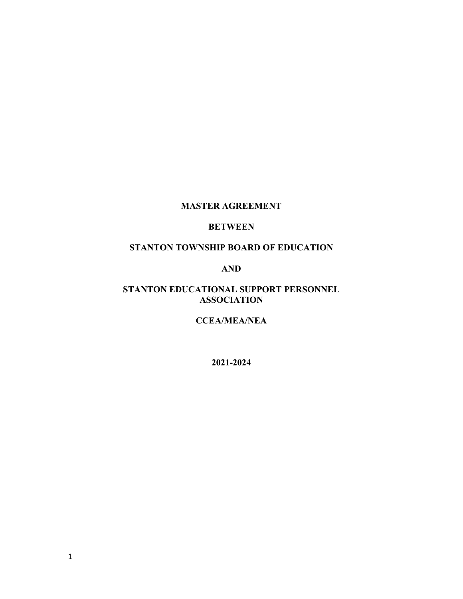# **MASTER AGREEMENT**

## **BETWEEN**

# **STANTON TOWNSHIP BOARD OF EDUCATION**

### **AND**

## **STANTON EDUCATIONAL SUPPORT PERSONNEL ASSOCIATION**

## **CCEA/MEA/NEA**

**2021-2024**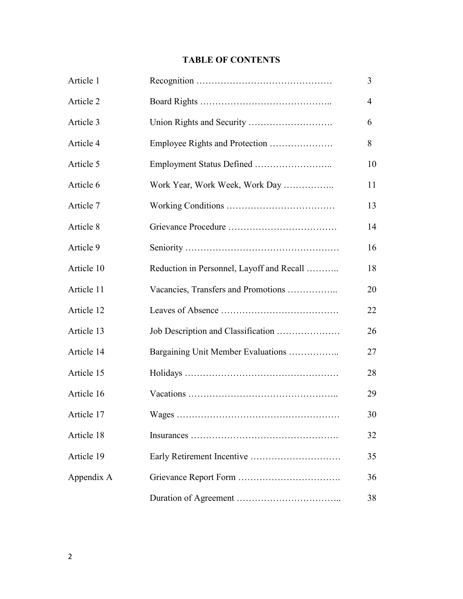# **TABLE OF CONTENTS**

| Article 1  |                                           | 3                        |
|------------|-------------------------------------------|--------------------------|
| Article 2  |                                           | $\overline{\mathcal{A}}$ |
| Article 3  |                                           | 6                        |
| Article 4  |                                           | 8                        |
| Article 5  | Employment Status Defined                 | 10                       |
| Article 6  | Work Year, Work Week, Work Day            | 11                       |
| Article 7  |                                           | 13                       |
| Article 8  |                                           | 14                       |
| Article 9  |                                           | 16                       |
| Article 10 | Reduction in Personnel, Layoff and Recall | 18                       |
| Article 11 | Vacancies, Transfers and Promotions       | 20                       |
| Article 12 |                                           | 22                       |
| Article 13 |                                           | 26                       |
| Article 14 | Bargaining Unit Member Evaluations        | 27                       |
| Article 15 |                                           | 28                       |
| Article 16 |                                           | 29                       |
| Article 17 |                                           | 30                       |
| Article 18 |                                           | 32                       |
| Article 19 |                                           | 35                       |
| Appendix A |                                           | 36                       |
|            |                                           | 38                       |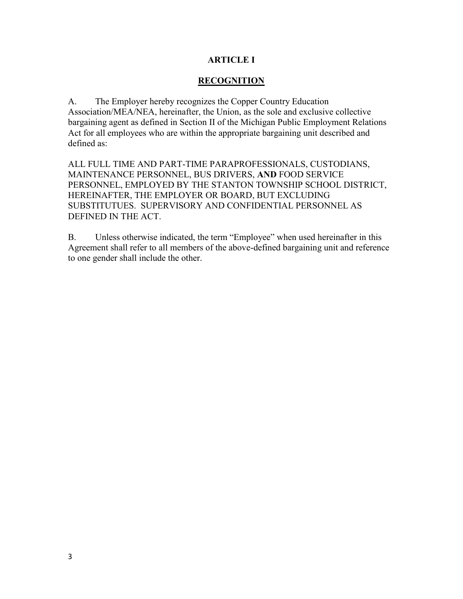## **ARTICLE I**

## **RECOGNITION**

A. The Employer hereby recognizes the Copper Country Education Association/MEA/NEA, hereinafter, the Union, as the sole and exclusive collective bargaining agent as defined in Section II of the Michigan Public Employment Relations Act for all employees who are within the appropriate bargaining unit described and defined as:

ALL FULL TIME AND PART-TIME PARAPROFESSIONALS, CUSTODIANS, MAINTENANCE PERSONNEL, BUS DRIVERS, **AND** FOOD SERVICE PERSONNEL, EMPLOYED BY THE STANTON TOWNSHIP SCHOOL DISTRICT, HEREINAFTER, THE EMPLOYER OR BOARD, BUT EXCLUDING SUBSTITUTUES. SUPERVISORY AND CONFIDENTIAL PERSONNEL AS DEFINED IN THE ACT.

B. Unless otherwise indicated, the term "Employee" when used hereinafter in this Agreement shall refer to all members of the above-defined bargaining unit and reference to one gender shall include the other.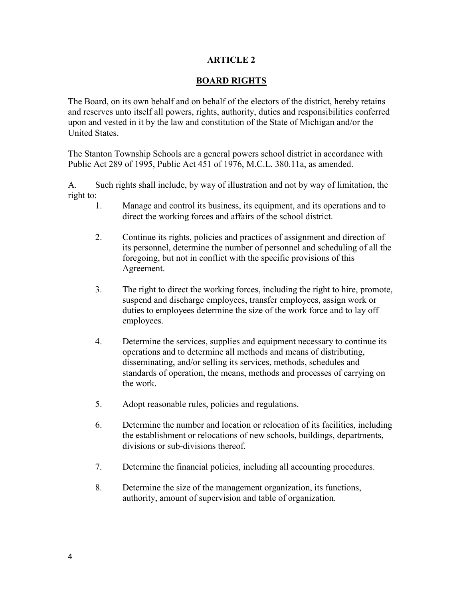## **BOARD RIGHTS**

The Board, on its own behalf and on behalf of the electors of the district, hereby retains and reserves unto itself all powers, rights, authority, duties and responsibilities conferred upon and vested in it by the law and constitution of the State of Michigan and/or the United States.

The Stanton Township Schools are a general powers school district in accordance with Public Act 289 of 1995, Public Act 451 of 1976, M.C.L. 380.11a, as amended.

A. Such rights shall include, by way of illustration and not by way of limitation, the right to:

- 1. Manage and control its business, its equipment, and its operations and to direct the working forces and affairs of the school district.
- 2. Continue its rights, policies and practices of assignment and direction of its personnel, determine the number of personnel and scheduling of all the foregoing, but not in conflict with the specific provisions of this Agreement.
- 3. The right to direct the working forces, including the right to hire, promote, suspend and discharge employees, transfer employees, assign work or duties to employees determine the size of the work force and to lay off employees.
- 4. Determine the services, supplies and equipment necessary to continue its operations and to determine all methods and means of distributing, disseminating, and/or selling its services, methods, schedules and standards of operation, the means, methods and processes of carrying on the work.
- 5. Adopt reasonable rules, policies and regulations.
- 6. Determine the number and location or relocation of its facilities, including the establishment or relocations of new schools, buildings, departments, divisions or sub-divisions thereof.
- 7. Determine the financial policies, including all accounting procedures.
- 8. Determine the size of the management organization, its functions, authority, amount of supervision and table of organization.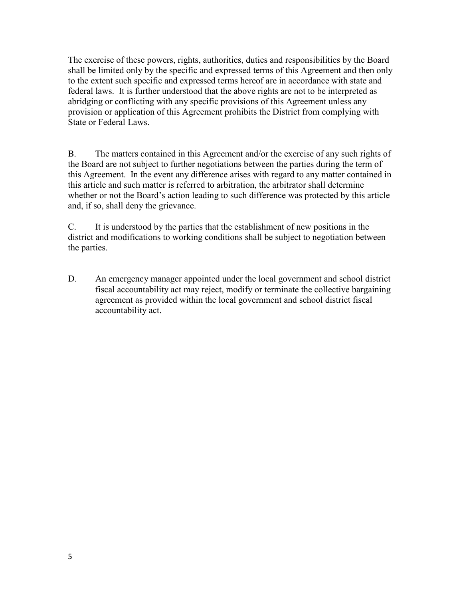The exercise of these powers, rights, authorities, duties and responsibilities by the Board shall be limited only by the specific and expressed terms of this Agreement and then only to the extent such specific and expressed terms hereof are in accordance with state and federal laws. It is further understood that the above rights are not to be interpreted as abridging or conflicting with any specific provisions of this Agreement unless any provision or application of this Agreement prohibits the District from complying with State or Federal Laws.

B. The matters contained in this Agreement and/or the exercise of any such rights of the Board are not subject to further negotiations between the parties during the term of this Agreement. In the event any difference arises with regard to any matter contained in this article and such matter is referred to arbitration, the arbitrator shall determine whether or not the Board's action leading to such difference was protected by this article and, if so, shall deny the grievance.

C. It is understood by the parties that the establishment of new positions in the district and modifications to working conditions shall be subject to negotiation between the parties.

D. An emergency manager appointed under the local government and school district fiscal accountability act may reject, modify or terminate the collective bargaining agreement as provided within the local government and school district fiscal accountability act.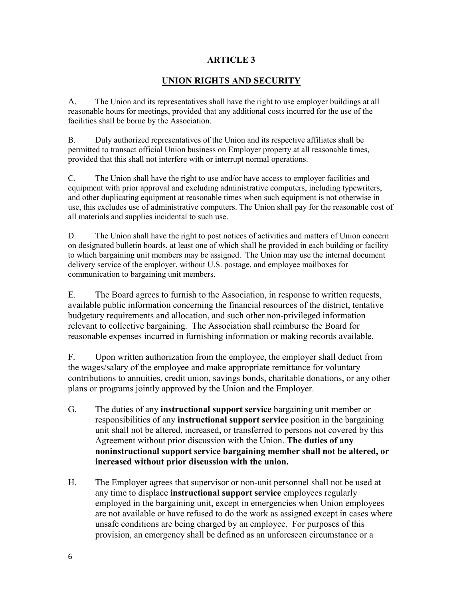## **UNION RIGHTS AND SECURITY**

A. The Union and its representatives shall have the right to use employer buildings at all reasonable hours for meetings, provided that any additional costs incurred for the use of the facilities shall be borne by the Association.

B. Duly authorized representatives of the Union and its respective affiliates shall be permitted to transact official Union business on Employer property at all reasonable times, provided that this shall not interfere with or interrupt normal operations.

C. The Union shall have the right to use and/or have access to employer facilities and equipment with prior approval and excluding administrative computers, including typewriters, and other duplicating equipment at reasonable times when such equipment is not otherwise in use, this excludes use of administrative computers. The Union shall pay for the reasonable cost of all materials and supplies incidental to such use.

D. The Union shall have the right to post notices of activities and matters of Union concern on designated bulletin boards, at least one of which shall be provided in each building or facility to which bargaining unit members may be assigned. The Union may use the internal document delivery service of the employer, without U.S. postage, and employee mailboxes for communication to bargaining unit members.

E. The Board agrees to furnish to the Association, in response to written requests, available public information concerning the financial resources of the district, tentative budgetary requirements and allocation, and such other non-privileged information relevant to collective bargaining. The Association shall reimburse the Board for reasonable expenses incurred in furnishing information or making records available.

F. Upon written authorization from the employee, the employer shall deduct from the wages/salary of the employee and make appropriate remittance for voluntary contributions to annuities, credit union, savings bonds, charitable donations, or any other plans or programs jointly approved by the Union and the Employer.

- G. The duties of any **instructional support service** bargaining unit member or responsibilities of any **instructional support service** position in the bargaining unit shall not be altered, increased, or transferred to persons not covered by this Agreement without prior discussion with the Union. **The duties of any noninstructional support service bargaining member shall not be altered, or increased without prior discussion with the union.**
- H. The Employer agrees that supervisor or non-unit personnel shall not be used at any time to displace **instructional support service** employees regularly employed in the bargaining unit, except in emergencies when Union employees are not available or have refused to do the work as assigned except in cases where unsafe conditions are being charged by an employee. For purposes of this provision, an emergency shall be defined as an unforeseen circumstance or a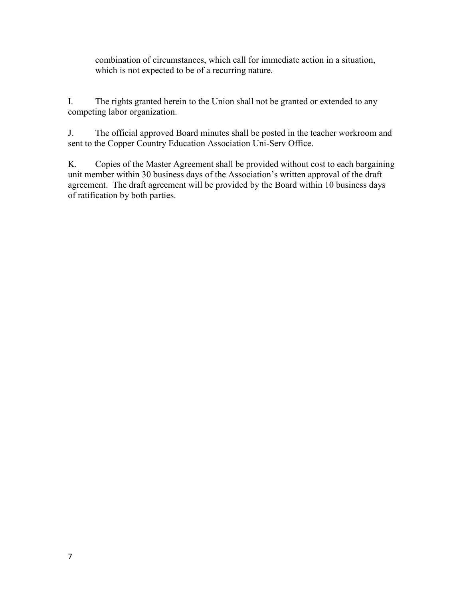combination of circumstances, which call for immediate action in a situation, which is not expected to be of a recurring nature.

I. The rights granted herein to the Union shall not be granted or extended to any competing labor organization.

J. The official approved Board minutes shall be posted in the teacher workroom and sent to the Copper Country Education Association Uni-Serv Office.

K. Copies of the Master Agreement shall be provided without cost to each bargaining unit member within 30 business days of the Association's written approval of the draft agreement. The draft agreement will be provided by the Board within 10 business days of ratification by both parties.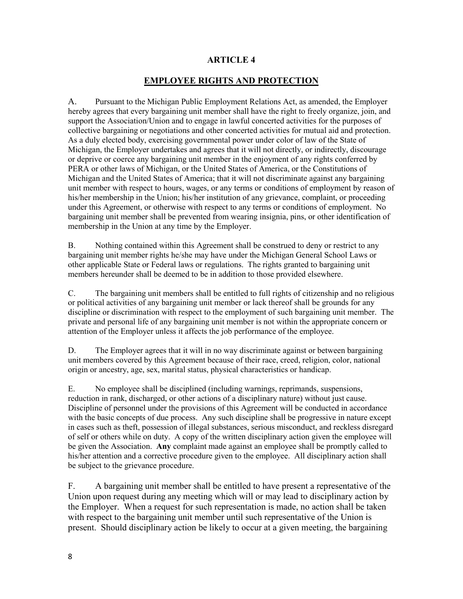### **EMPLOYEE RIGHTS AND PROTECTION**

A. Pursuant to the Michigan Public Employment Relations Act, as amended, the Employer hereby agrees that every bargaining unit member shall have the right to freely organize, join, and support the Association/Union and to engage in lawful concerted activities for the purposes of collective bargaining or negotiations and other concerted activities for mutual aid and protection. As a duly elected body, exercising governmental power under color of law of the State of Michigan, the Employer undertakes and agrees that it will not directly, or indirectly, discourage or deprive or coerce any bargaining unit member in the enjoyment of any rights conferred by PERA or other laws of Michigan, or the United States of America, or the Constitutions of Michigan and the United States of America; that it will not discriminate against any bargaining unit member with respect to hours, wages, or any terms or conditions of employment by reason of his/her membership in the Union; his/her institution of any grievance, complaint, or proceeding under this Agreement, or otherwise with respect to any terms or conditions of employment. No bargaining unit member shall be prevented from wearing insignia, pins, or other identification of membership in the Union at any time by the Employer.

B. Nothing contained within this Agreement shall be construed to deny or restrict to any bargaining unit member rights he/she may have under the Michigan General School Laws or other applicable State or Federal laws or regulations. The rights granted to bargaining unit members hereunder shall be deemed to be in addition to those provided elsewhere.

C. The bargaining unit members shall be entitled to full rights of citizenship and no religious or political activities of any bargaining unit member or lack thereof shall be grounds for any discipline or discrimination with respect to the employment of such bargaining unit member. The private and personal life of any bargaining unit member is not within the appropriate concern or attention of the Employer unless it affects the job performance of the employee.

D. The Employer agrees that it will in no way discriminate against or between bargaining unit members covered by this Agreement because of their race, creed, religion, color, national origin or ancestry, age, sex, marital status, physical characteristics or handicap.

E. No employee shall be disciplined (including warnings, reprimands, suspensions, reduction in rank, discharged, or other actions of a disciplinary nature) without just cause. Discipline of personnel under the provisions of this Agreement will be conducted in accordance with the basic concepts of due process. Any such discipline shall be progressive in nature except in cases such as theft, possession of illegal substances, serious misconduct, and reckless disregard of self or others while on duty. A copy of the written disciplinary action given the employee will be given the Association. **Any** complaint made against an employee shall be promptly called to his/her attention and a corrective procedure given to the employee. All disciplinary action shall be subject to the grievance procedure.

F. A bargaining unit member shall be entitled to have present a representative of the Union upon request during any meeting which will or may lead to disciplinary action by the Employer. When a request for such representation is made, no action shall be taken with respect to the bargaining unit member until such representative of the Union is present. Should disciplinary action be likely to occur at a given meeting, the bargaining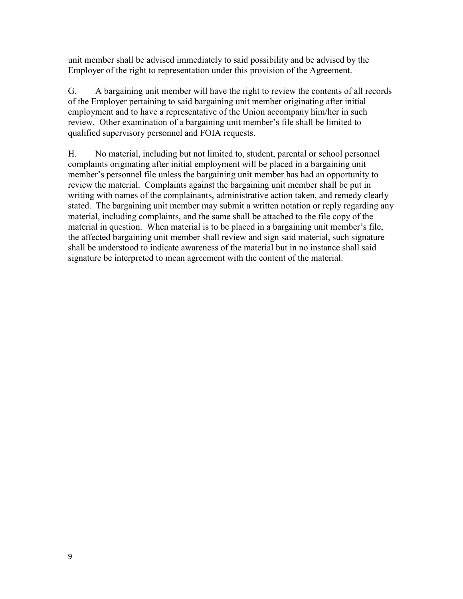unit member shall be advised immediately to said possibility and be advised by the Employer of the right to representation under this provision of the Agreement.

G. A bargaining unit member will have the right to review the contents of all records of the Employer pertaining to said bargaining unit member originating after initial employment and to have a representative of the Union accompany him/her in such review. Other examination of a bargaining unit member's file shall be limited to qualified supervisory personnel and FOIA requests.

H. No material, including but not limited to, student, parental or school personnel complaints originating after initial employment will be placed in a bargaining unit member's personnel file unless the bargaining unit member has had an opportunity to review the material. Complaints against the bargaining unit member shall be put in writing with names of the complainants, administrative action taken, and remedy clearly stated. The bargaining unit member may submit a written notation or reply regarding any material, including complaints, and the same shall be attached to the file copy of the material in question. When material is to be placed in a bargaining unit member's file, the affected bargaining unit member shall review and sign said material, such signature shall be understood to indicate awareness of the material but in no instance shall said signature be interpreted to mean agreement with the content of the material.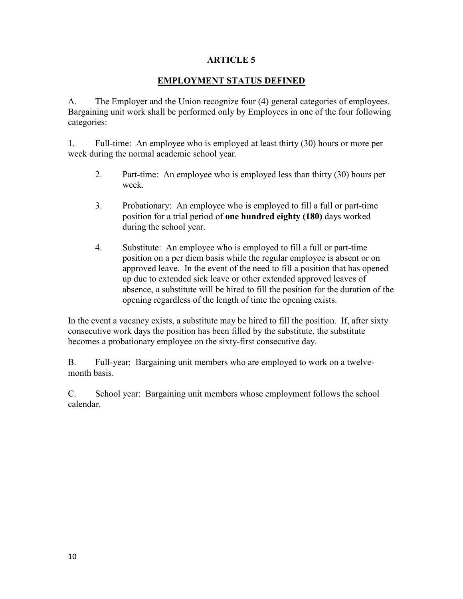## **EMPLOYMENT STATUS DEFINED**

A. The Employer and the Union recognize four (4) general categories of employees. Bargaining unit work shall be performed only by Employees in one of the four following categories:

1. Full-time: An employee who is employed at least thirty (30) hours or more per week during the normal academic school year.

- 2. Part-time: An employee who is employed less than thirty (30) hours per week.
- 3. Probationary: An employee who is employed to fill a full or part-time position for a trial period of **one hundred eighty (180)** days worked during the school year.
- 4. Substitute: An employee who is employed to fill a full or part-time position on a per diem basis while the regular employee is absent or on approved leave. In the event of the need to fill a position that has opened up due to extended sick leave or other extended approved leaves of absence, a substitute will be hired to fill the position for the duration of the opening regardless of the length of time the opening exists.

In the event a vacancy exists, a substitute may be hired to fill the position. If, after sixty consecutive work days the position has been filled by the substitute, the substitute becomes a probationary employee on the sixty-first consecutive day.

B. Full-year: Bargaining unit members who are employed to work on a twelvemonth basis.

C. School year: Bargaining unit members whose employment follows the school calendar.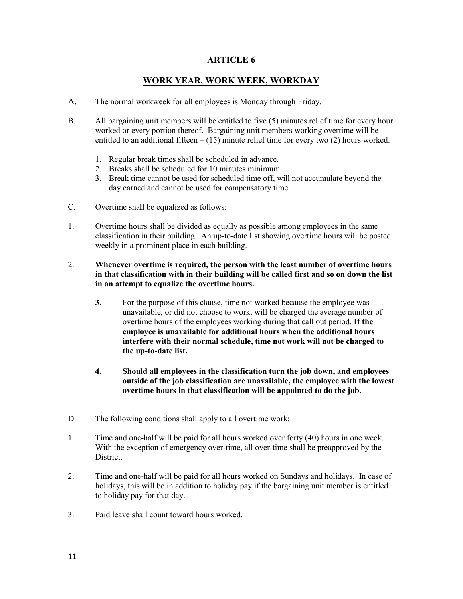## **WORK YEAR, WORK WEEK, WORKDAY**

- A. The normal workweek for all employees is Monday through Friday.
- B. All bargaining unit members will be entitled to five (5) minutes relief time for every hour worked or every portion thereof. Bargaining unit members working overtime will be entitled to an additional fifteen  $- (15)$  minute relief time for every two  $(2)$  hours worked.
	- 1. Regular break times shall be scheduled in advance.
	- 2. Breaks shall be scheduled for 10 minutes minimum.
	- 3. Break time cannot be used for scheduled time off, will not accumulate beyond the day earned and cannot be used for compensatory time.
- C. Overtime shall be equalized as follows:
- 1. Overtime hours shall be divided as equally as possible among employees in the same classification in their building. An up-to-date list showing overtime hours will be posted weekly in a prominent place in each building.
- 2. **Whenever overtime is required, the person with the least number of overtime hours in that classification with in their building will be called first and so on down the list in an attempt to equalize the overtime hours.**
	- **3.** For the purpose of this clause, time not worked because the employee was unavailable, or did not choose to work, will be charged the average number of overtime hours of the employees working during that call out period. **If the employee is unavailable for additional hours when the additional hours interfere with their normal schedule, time not work will not be charged to the up-to-date list.**
	- **4. Should all employees in the classification turn the job down, and employees outside of the job classification are unavailable, the employee with the lowest overtime hours in that classification will be appointed to do the job.**
- D. The following conditions shall apply to all overtime work:
- 1. Time and one-half will be paid for all hours worked over forty (40) hours in one week. With the exception of emergency over-time, all over-time shall be preapproved by the District.
- 2. Time and one-half will be paid for all hours worked on Sundays and holidays. In case of holidays, this will be in addition to holiday pay if the bargaining unit member is entitled to holiday pay for that day.
- 3. Paid leave shall count toward hours worked.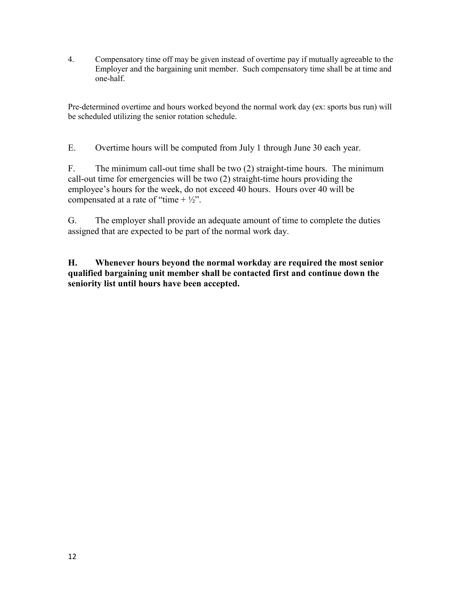4. Compensatory time off may be given instead of overtime pay if mutually agreeable to the Employer and the bargaining unit member. Such compensatory time shall be at time and one-half.

Pre-determined overtime and hours worked beyond the normal work day (ex: sports bus run) will be scheduled utilizing the senior rotation schedule.

E. Overtime hours will be computed from July 1 through June 30 each year.

F. The minimum call-out time shall be two (2) straight-time hours. The minimum call-out time for emergencies will be two (2) straight-time hours providing the employee's hours for the week, do not exceed 40 hours. Hours over 40 will be compensated at a rate of "time  $+ \frac{1}{2}$ ".

G. The employer shall provide an adequate amount of time to complete the duties assigned that are expected to be part of the normal work day.

**H. Whenever hours beyond the normal workday are required the most senior qualified bargaining unit member shall be contacted first and continue down the seniority list until hours have been accepted.**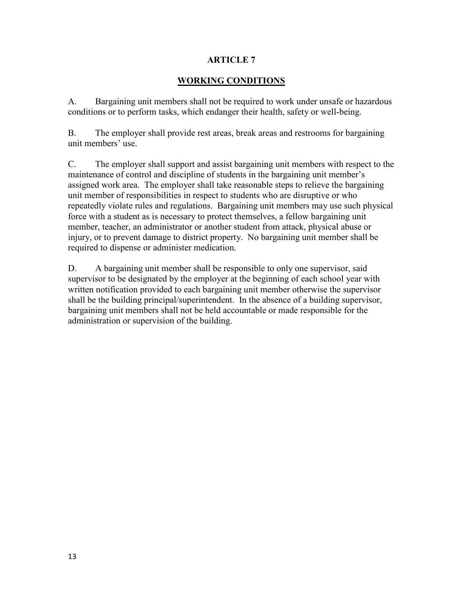## **WORKING CONDITIONS**

A. Bargaining unit members shall not be required to work under unsafe or hazardous conditions or to perform tasks, which endanger their health, safety or well-being.

B. The employer shall provide rest areas, break areas and restrooms for bargaining unit members' use.

C. The employer shall support and assist bargaining unit members with respect to the maintenance of control and discipline of students in the bargaining unit member's assigned work area. The employer shall take reasonable steps to relieve the bargaining unit member of responsibilities in respect to students who are disruptive or who repeatedly violate rules and regulations. Bargaining unit members may use such physical force with a student as is necessary to protect themselves, a fellow bargaining unit member, teacher, an administrator or another student from attack, physical abuse or injury, or to prevent damage to district property. No bargaining unit member shall be required to dispense or administer medication.

D. A bargaining unit member shall be responsible to only one supervisor, said supervisor to be designated by the employer at the beginning of each school year with written notification provided to each bargaining unit member otherwise the supervisor shall be the building principal/superintendent. In the absence of a building supervisor, bargaining unit members shall not be held accountable or made responsible for the administration or supervision of the building.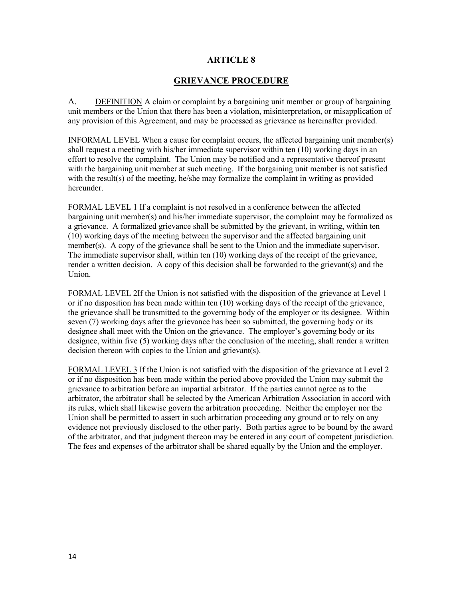### **GRIEVANCE PROCEDURE**

A. DEFINITION A claim or complaint by a bargaining unit member or group of bargaining unit members or the Union that there has been a violation, misinterpretation, or misapplication of any provision of this Agreement, and may be processed as grievance as hereinafter provided.

INFORMAL LEVEL When a cause for complaint occurs, the affected bargaining unit member(s) shall request a meeting with his/her immediate supervisor within ten (10) working days in an effort to resolve the complaint. The Union may be notified and a representative thereof present with the bargaining unit member at such meeting. If the bargaining unit member is not satisfied with the result(s) of the meeting, he/she may formalize the complaint in writing as provided hereunder.

FORMAL LEVEL 1 If a complaint is not resolved in a conference between the affected bargaining unit member(s) and his/her immediate supervisor, the complaint may be formalized as a grievance. A formalized grievance shall be submitted by the grievant, in writing, within ten (10) working days of the meeting between the supervisor and the affected bargaining unit member(s). A copy of the grievance shall be sent to the Union and the immediate supervisor. The immediate supervisor shall, within ten (10) working days of the receipt of the grievance, render a written decision. A copy of this decision shall be forwarded to the grievant(s) and the Union.

FORMAL LEVEL 2If the Union is not satisfied with the disposition of the grievance at Level 1 or if no disposition has been made within ten (10) working days of the receipt of the grievance, the grievance shall be transmitted to the governing body of the employer or its designee. Within seven (7) working days after the grievance has been so submitted, the governing body or its designee shall meet with the Union on the grievance. The employer's governing body or its designee, within five (5) working days after the conclusion of the meeting, shall render a written decision thereon with copies to the Union and grievant(s).

FORMAL LEVEL 3 If the Union is not satisfied with the disposition of the grievance at Level 2 or if no disposition has been made within the period above provided the Union may submit the grievance to arbitration before an impartial arbitrator. If the parties cannot agree as to the arbitrator, the arbitrator shall be selected by the American Arbitration Association in accord with its rules, which shall likewise govern the arbitration proceeding. Neither the employer nor the Union shall be permitted to assert in such arbitration proceeding any ground or to rely on any evidence not previously disclosed to the other party. Both parties agree to be bound by the award of the arbitrator, and that judgment thereon may be entered in any court of competent jurisdiction. The fees and expenses of the arbitrator shall be shared equally by the Union and the employer.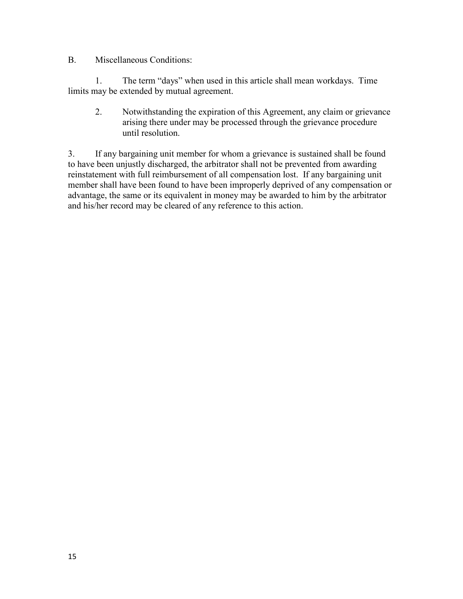## B. Miscellaneous Conditions:

1. The term "days" when used in this article shall mean workdays. Time limits may be extended by mutual agreement.

2. Notwithstanding the expiration of this Agreement, any claim or grievance arising there under may be processed through the grievance procedure until resolution.

3. If any bargaining unit member for whom a grievance is sustained shall be found to have been unjustly discharged, the arbitrator shall not be prevented from awarding reinstatement with full reimbursement of all compensation lost. If any bargaining unit member shall have been found to have been improperly deprived of any compensation or advantage, the same or its equivalent in money may be awarded to him by the arbitrator and his/her record may be cleared of any reference to this action.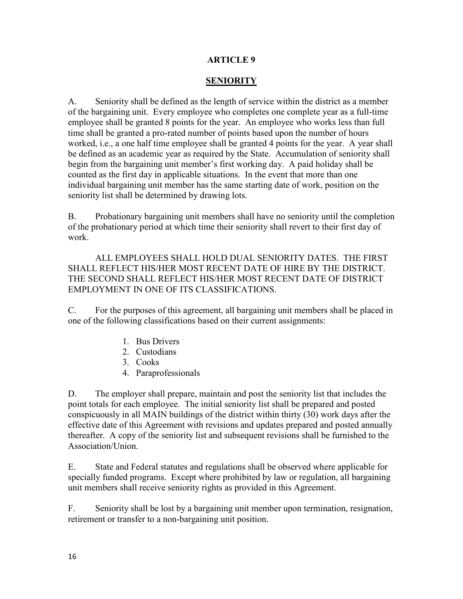# **SENIORITY**

A. Seniority shall be defined as the length of service within the district as a member of the bargaining unit. Every employee who completes one complete year as a full-time employee shall be granted 8 points for the year. An employee who works less than full time shall be granted a pro-rated number of points based upon the number of hours worked, i.e., a one half time employee shall be granted 4 points for the year. A year shall be defined as an academic year as required by the State. Accumulation of seniority shall begin from the bargaining unit member's first working day. A paid holiday shall be counted as the first day in applicable situations. In the event that more than one individual bargaining unit member has the same starting date of work, position on the seniority list shall be determined by drawing lots.

B. Probationary bargaining unit members shall have no seniority until the completion of the probationary period at which time their seniority shall revert to their first day of work.

ALL EMPLOYEES SHALL HOLD DUAL SENIORITY DATES. THE FIRST SHALL REFLECT HIS/HER MOST RECENT DATE OF HIRE BY THE DISTRICT. THE SECOND SHALL REFLECT HIS/HER MOST RECENT DATE OF DISTRICT EMPLOYMENT IN ONE OF ITS CLASSIFICATIONS.

C. For the purposes of this agreement, all bargaining unit members shall be placed in one of the following classifications based on their current assignments:

- 1. Bus Drivers
- 2. Custodians
- 3. Cooks
- 4. Paraprofessionals

D. The employer shall prepare, maintain and post the seniority list that includes the point totals for each employee. The initial seniority list shall be prepared and posted conspicuously in all MAIN buildings of the district within thirty (30) work days after the effective date of this Agreement with revisions and updates prepared and posted annually thereafter. A copy of the seniority list and subsequent revisions shall be furnished to the Association/Union.

E. State and Federal statutes and regulations shall be observed where applicable for specially funded programs. Except where prohibited by law or regulation, all bargaining unit members shall receive seniority rights as provided in this Agreement.

F. Seniority shall be lost by a bargaining unit member upon termination, resignation, retirement or transfer to a non-bargaining unit position.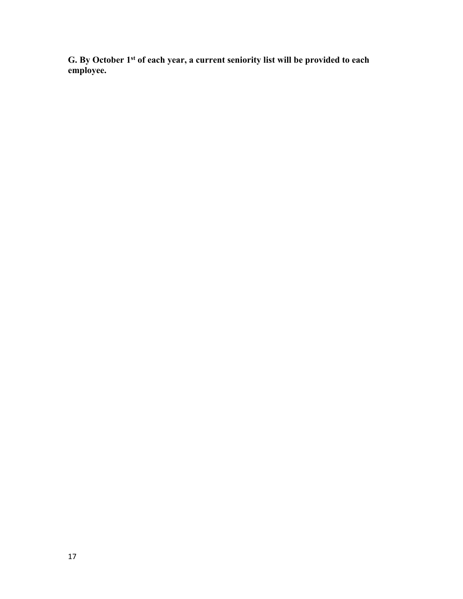**G. By October 1st of each year, a current seniority list will be provided to each employee.**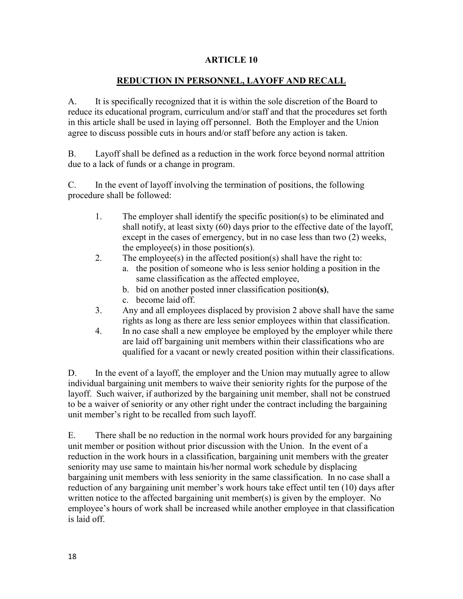## **REDUCTION IN PERSONNEL, LAYOFF AND RECALL**

A. It is specifically recognized that it is within the sole discretion of the Board to reduce its educational program, curriculum and/or staff and that the procedures set forth in this article shall be used in laying off personnel. Both the Employer and the Union agree to discuss possible cuts in hours and/or staff before any action is taken.

B. Layoff shall be defined as a reduction in the work force beyond normal attrition due to a lack of funds or a change in program.

C. In the event of layoff involving the termination of positions, the following procedure shall be followed:

- 1. The employer shall identify the specific position(s) to be eliminated and shall notify, at least sixty (60) days prior to the effective date of the layoff, except in the cases of emergency, but in no case less than two (2) weeks, the employee $(s)$  in those position $(s)$ .
- 2. The employee(s) in the affected position(s) shall have the right to:
	- a. the position of someone who is less senior holding a position in the same classification as the affected employee,
	- b. bid on another posted inner classification position**(s)**,
	- c. become laid off.
- 3. Any and all employees displaced by provision 2 above shall have the same rights as long as there are less senior employees within that classification.
- 4. In no case shall a new employee be employed by the employer while there are laid off bargaining unit members within their classifications who are qualified for a vacant or newly created position within their classifications.

D. In the event of a layoff, the employer and the Union may mutually agree to allow individual bargaining unit members to waive their seniority rights for the purpose of the layoff. Such waiver, if authorized by the bargaining unit member, shall not be construed to be a waiver of seniority or any other right under the contract including the bargaining unit member's right to be recalled from such layoff.

E. There shall be no reduction in the normal work hours provided for any bargaining unit member or position without prior discussion with the Union. In the event of a reduction in the work hours in a classification, bargaining unit members with the greater seniority may use same to maintain his/her normal work schedule by displacing bargaining unit members with less seniority in the same classification. In no case shall a reduction of any bargaining unit member's work hours take effect until ten (10) days after written notice to the affected bargaining unit member(s) is given by the employer. No employee's hours of work shall be increased while another employee in that classification is laid off.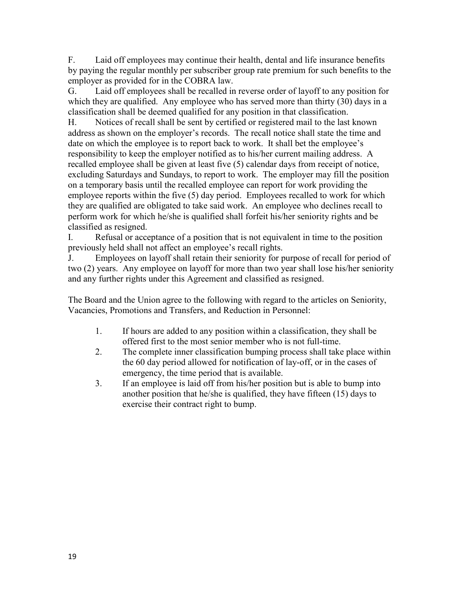F. Laid off employees may continue their health, dental and life insurance benefits by paying the regular monthly per subscriber group rate premium for such benefits to the employer as provided for in the COBRA law.

G. Laid off employees shall be recalled in reverse order of layoff to any position for which they are qualified. Any employee who has served more than thirty (30) days in a classification shall be deemed qualified for any position in that classification.

H. Notices of recall shall be sent by certified or registered mail to the last known address as shown on the employer's records. The recall notice shall state the time and date on which the employee is to report back to work. It shall bet the employee's responsibility to keep the employer notified as to his/her current mailing address. A recalled employee shall be given at least five (5) calendar days from receipt of notice, excluding Saturdays and Sundays, to report to work. The employer may fill the position on a temporary basis until the recalled employee can report for work providing the employee reports within the five (5) day period. Employees recalled to work for which they are qualified are obligated to take said work. An employee who declines recall to perform work for which he/she is qualified shall forfeit his/her seniority rights and be classified as resigned.

I. Refusal or acceptance of a position that is not equivalent in time to the position previously held shall not affect an employee's recall rights.

J. Employees on layoff shall retain their seniority for purpose of recall for period of two (2) years. Any employee on layoff for more than two year shall lose his/her seniority and any further rights under this Agreement and classified as resigned.

The Board and the Union agree to the following with regard to the articles on Seniority, Vacancies, Promotions and Transfers, and Reduction in Personnel:

- 1. If hours are added to any position within a classification, they shall be offered first to the most senior member who is not full-time.
- 2. The complete inner classification bumping process shall take place within the 60 day period allowed for notification of lay-off, or in the cases of emergency, the time period that is available.
- 3. If an employee is laid off from his/her position but is able to bump into another position that he/she is qualified, they have fifteen (15) days to exercise their contract right to bump.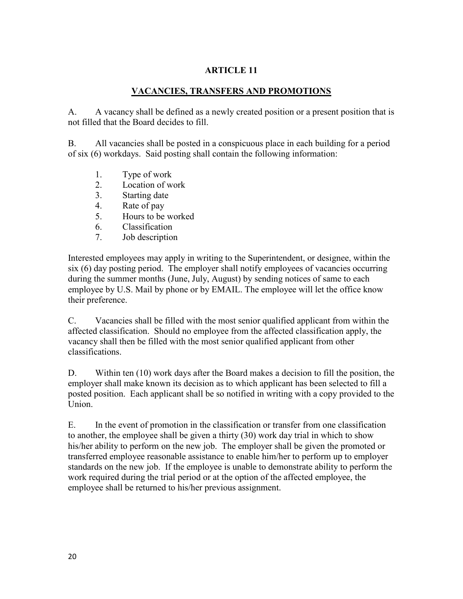## **VACANCIES, TRANSFERS AND PROMOTIONS**

A. A vacancy shall be defined as a newly created position or a present position that is not filled that the Board decides to fill.

B. All vacancies shall be posted in a conspicuous place in each building for a period of six (6) workdays. Said posting shall contain the following information:

- 1. Type of work
- 2. Location of work
- 3. Starting date
- 4. Rate of pay
- 5. Hours to be worked
- 6. Classification
- 7. Job description

Interested employees may apply in writing to the Superintendent, or designee, within the six (6) day posting period. The employer shall notify employees of vacancies occurring during the summer months (June, July, August) by sending notices of same to each employee by U.S. Mail by phone or by EMAIL. The employee will let the office know their preference.

C. Vacancies shall be filled with the most senior qualified applicant from within the affected classification. Should no employee from the affected classification apply, the vacancy shall then be filled with the most senior qualified applicant from other classifications.

D. Within ten (10) work days after the Board makes a decision to fill the position, the employer shall make known its decision as to which applicant has been selected to fill a posted position. Each applicant shall be so notified in writing with a copy provided to the Union.

E. In the event of promotion in the classification or transfer from one classification to another, the employee shall be given a thirty (30) work day trial in which to show his/her ability to perform on the new job. The employer shall be given the promoted or transferred employee reasonable assistance to enable him/her to perform up to employer standards on the new job. If the employee is unable to demonstrate ability to perform the work required during the trial period or at the option of the affected employee, the employee shall be returned to his/her previous assignment.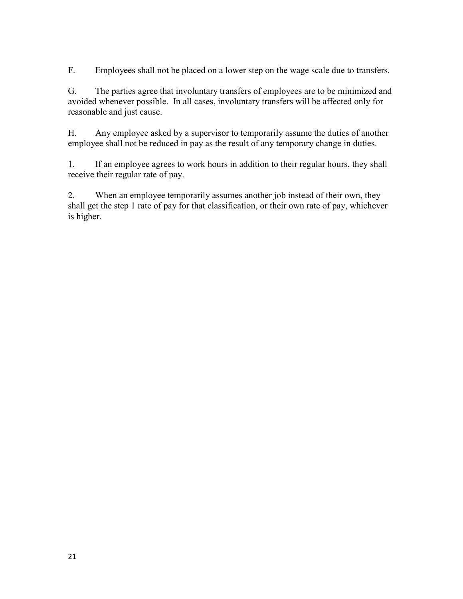F. Employees shall not be placed on a lower step on the wage scale due to transfers.

G. The parties agree that involuntary transfers of employees are to be minimized and avoided whenever possible. In all cases, involuntary transfers will be affected only for reasonable and just cause.

H. Any employee asked by a supervisor to temporarily assume the duties of another employee shall not be reduced in pay as the result of any temporary change in duties.

1. If an employee agrees to work hours in addition to their regular hours, they shall receive their regular rate of pay.

2. When an employee temporarily assumes another job instead of their own, they shall get the step 1 rate of pay for that classification, or their own rate of pay, whichever is higher.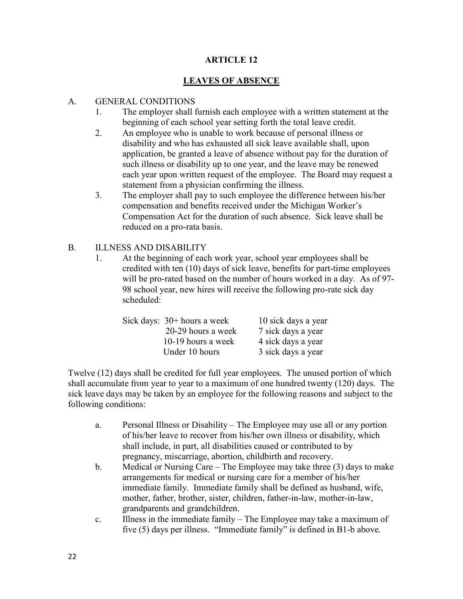## **LEAVES OF ABSENCE**

### A. GENERAL CONDITIONS

- 1. The employer shall furnish each employee with a written statement at the beginning of each school year setting forth the total leave credit.
- 2. An employee who is unable to work because of personal illness or disability and who has exhausted all sick leave available shall, upon application, be granted a leave of absence without pay for the duration of such illness or disability up to one year, and the leave may be renewed each year upon written request of the employee. The Board may request a statement from a physician confirming the illness.
- 3. The employer shall pay to such employee the difference between his/her compensation and benefits received under the Michigan Worker's Compensation Act for the duration of such absence. Sick leave shall be reduced on a pro-rata basis.

### B. ILLNESS AND DISABILITY

1. At the beginning of each work year, school year employees shall be credited with ten (10) days of sick leave, benefits for part-time employees will be pro-rated based on the number of hours worked in a day. As of 97- 98 school year, new hires will receive the following pro-rate sick day scheduled:

| Sick days: $30+$ hours a week | 10 sick days a year |
|-------------------------------|---------------------|
| 20-29 hours a week            | 7 sick days a year  |
| 10-19 hours a week            | 4 sick days a year  |
| Under 10 hours                | 3 sick days a year  |

Twelve (12) days shall be credited for full year employees. The unused portion of which shall accumulate from year to year to a maximum of one hundred twenty (120) days. The sick leave days may be taken by an employee for the following reasons and subject to the following conditions:

- a. Personal Illness or Disability The Employee may use all or any portion of his/her leave to recover from his/her own illness or disability, which shall include, in part, all disabilities caused or contributed to by pregnancy, miscarriage, abortion, childbirth and recovery.
- b. Medical or Nursing Care The Employee may take three (3) days to make arrangements for medical or nursing care for a member of his/her immediate family. Immediate family shall be defined as husband, wife, mother, father, brother, sister, children, father-in-law, mother-in-law, grandparents and grandchildren.
- c. Illness in the immediate family The Employee may take a maximum of five (5) days per illness. "Immediate family" is defined in B1-b above.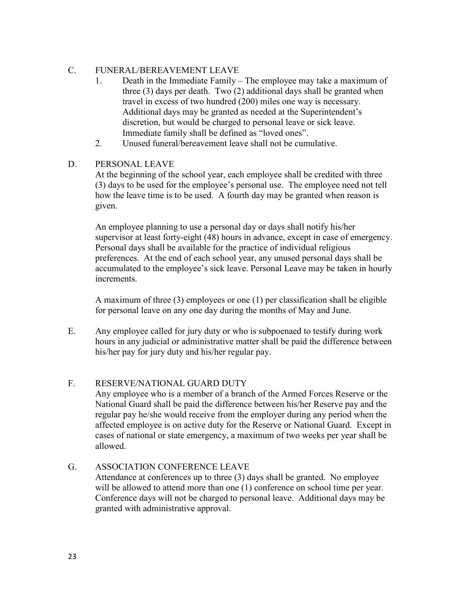## C. FUNERAL/BEREAVEMENT LEAVE

- 1. Death in the Immediate Family The employee may take a maximum of three (3) days per death. Two (2) additional days shall be granted when travel in excess of two hundred (200) miles one way is necessary. Additional days may be granted as needed at the Superintendent's discretion, but would be charged to personal leave or sick leave. Immediate family shall be defined as "loved ones".
- 2. Unused funeral/bereavement leave shall not be cumulative.

## D. PERSONAL LEAVE

At the beginning of the school year, each employee shall be credited with three (3) days to be used for the employee's personal use. The employee need not tell how the leave time is to be used. A fourth day may be granted when reason is given.

An employee planning to use a personal day or days shall notify his/her supervisor at least forty-eight (48) hours in advance, except in case of emergency. Personal days shall be available for the practice of individual religious preferences. At the end of each school year, any unused personal days shall be accumulated to the employee's sick leave. Personal Leave may be taken in hourly increments.

A maximum of three (3) employees or one (1) per classification shall be eligible for personal leave on any one day during the months of May and June.

E. Any employee called for jury duty or who is subpoenaed to testify during work hours in any judicial or administrative matter shall be paid the difference between his/her pay for jury duty and his/her regular pay.

# F. RESERVE/NATIONAL GUARD DUTY

Any employee who is a member of a branch of the Armed Forces Reserve or the National Guard shall be paid the difference between his/her Reserve pay and the regular pay he/she would receive from the employer during any period when the affected employee is on active duty for the Reserve or National Guard. Except in cases of national or state emergency, a maximum of two weeks per year shall be allowed.

# G. ASSOCIATION CONFERENCE LEAVE

Attendance at conferences up to three (3) days shall be granted. No employee will be allowed to attend more than one (1) conference on school time per year. Conference days will not be charged to personal leave. Additional days may be granted with administrative approval.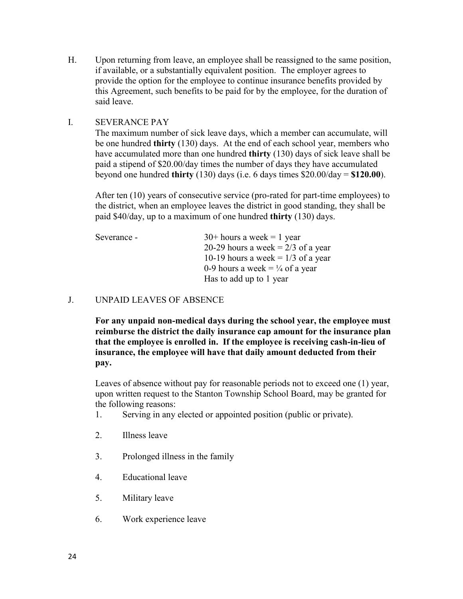H. Upon returning from leave, an employee shall be reassigned to the same position, if available, or a substantially equivalent position. The employer agrees to provide the option for the employee to continue insurance benefits provided by this Agreement, such benefits to be paid for by the employee, for the duration of said leave.

### I. SEVERANCE PAY

The maximum number of sick leave days, which a member can accumulate, will be one hundred **thirty** (130) days. At the end of each school year, members who have accumulated more than one hundred **thirty** (130) days of sick leave shall be paid a stipend of \$20.00/day times the number of days they have accumulated beyond one hundred **thirty** (130) days (i.e. 6 days times \$20.00/day = **\$120.00**).

After ten (10) years of consecutive service (pro-rated for part-time employees) to the district, when an employee leaves the district in good standing, they shall be paid \$40/day, up to a maximum of one hundred **thirty** (130) days.

| Severance - | $30+$ hours a week = 1 year                |
|-------------|--------------------------------------------|
|             | 20-29 hours a week = $2/3$ of a year       |
|             | 10-19 hours a week = $1/3$ of a year       |
|             | 0-9 hours a week = $\frac{1}{4}$ of a year |
|             | Has to add up to 1 year                    |

### J. UNPAID LEAVES OF ABSENCE

**For any unpaid non-medical days during the school year, the employee must reimburse the district the daily insurance cap amount for the insurance plan that the employee is enrolled in. If the employee is receiving cash-in-lieu of insurance, the employee will have that daily amount deducted from their pay.** 

Leaves of absence without pay for reasonable periods not to exceed one (1) year, upon written request to the Stanton Township School Board, may be granted for the following reasons:

- 1. Serving in any elected or appointed position (public or private).
- 2. Illness leave
- 3. Prolonged illness in the family
- 4. Educational leave
- 5. Military leave
- 6. Work experience leave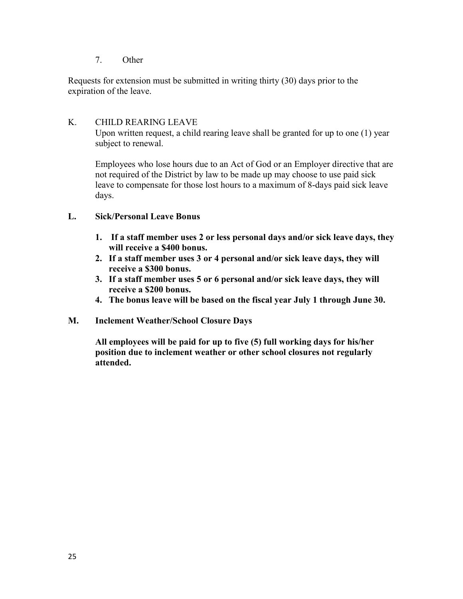7. Other

Requests for extension must be submitted in writing thirty (30) days prior to the expiration of the leave.

## K. CHILD REARING LEAVE

Upon written request, a child rearing leave shall be granted for up to one (1) year subject to renewal.

Employees who lose hours due to an Act of God or an Employer directive that are not required of the District by law to be made up may choose to use paid sick leave to compensate for those lost hours to a maximum of 8-days paid sick leave days.

### **L. Sick/Personal Leave Bonus**

- **1. If a staff member uses 2 or less personal days and/or sick leave days, they will receive a \$400 bonus.**
- **2. If a staff member uses 3 or 4 personal and/or sick leave days, they will receive a \$300 bonus.**
- **3. If a staff member uses 5 or 6 personal and/or sick leave days, they will receive a \$200 bonus.**
- **4. The bonus leave will be based on the fiscal year July 1 through June 30.**
- **M. Inclement Weather/School Closure Days**

**All employees will be paid for up to five (5) full working days for his/her position due to inclement weather or other school closures not regularly attended.**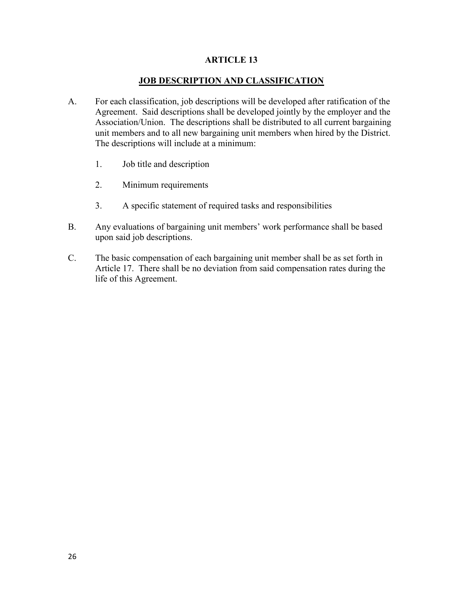### **JOB DESCRIPTION AND CLASSIFICATION**

- A. For each classification, job descriptions will be developed after ratification of the Agreement. Said descriptions shall be developed jointly by the employer and the Association/Union. The descriptions shall be distributed to all current bargaining unit members and to all new bargaining unit members when hired by the District. The descriptions will include at a minimum:
	- 1. Job title and description
	- 2. Minimum requirements
	- 3. A specific statement of required tasks and responsibilities
- B. Any evaluations of bargaining unit members' work performance shall be based upon said job descriptions.
- C. The basic compensation of each bargaining unit member shall be as set forth in Article 17. There shall be no deviation from said compensation rates during the life of this Agreement.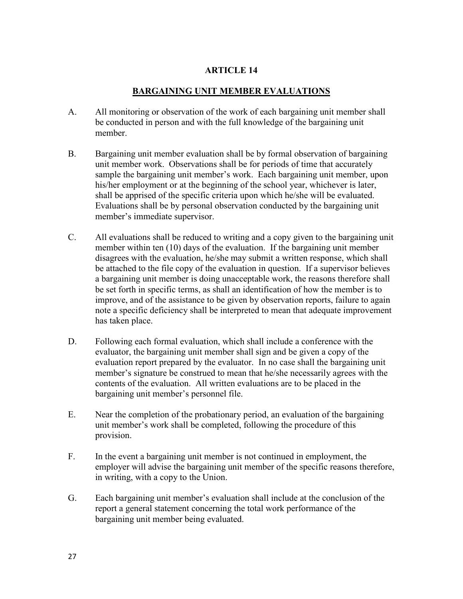## **BARGAINING UNIT MEMBER EVALUATIONS**

- A. All monitoring or observation of the work of each bargaining unit member shall be conducted in person and with the full knowledge of the bargaining unit member.
- B. Bargaining unit member evaluation shall be by formal observation of bargaining unit member work. Observations shall be for periods of time that accurately sample the bargaining unit member's work. Each bargaining unit member, upon his/her employment or at the beginning of the school year, whichever is later, shall be apprised of the specific criteria upon which he/she will be evaluated. Evaluations shall be by personal observation conducted by the bargaining unit member's immediate supervisor.
- C. All evaluations shall be reduced to writing and a copy given to the bargaining unit member within ten (10) days of the evaluation. If the bargaining unit member disagrees with the evaluation, he/she may submit a written response, which shall be attached to the file copy of the evaluation in question. If a supervisor believes a bargaining unit member is doing unacceptable work, the reasons therefore shall be set forth in specific terms, as shall an identification of how the member is to improve, and of the assistance to be given by observation reports, failure to again note a specific deficiency shall be interpreted to mean that adequate improvement has taken place.
- D. Following each formal evaluation, which shall include a conference with the evaluator, the bargaining unit member shall sign and be given a copy of the evaluation report prepared by the evaluator. In no case shall the bargaining unit member's signature be construed to mean that he/she necessarily agrees with the contents of the evaluation. All written evaluations are to be placed in the bargaining unit member's personnel file.
- E. Near the completion of the probationary period, an evaluation of the bargaining unit member's work shall be completed, following the procedure of this provision.
- F. In the event a bargaining unit member is not continued in employment, the employer will advise the bargaining unit member of the specific reasons therefore, in writing, with a copy to the Union.
- G. Each bargaining unit member's evaluation shall include at the conclusion of the report a general statement concerning the total work performance of the bargaining unit member being evaluated.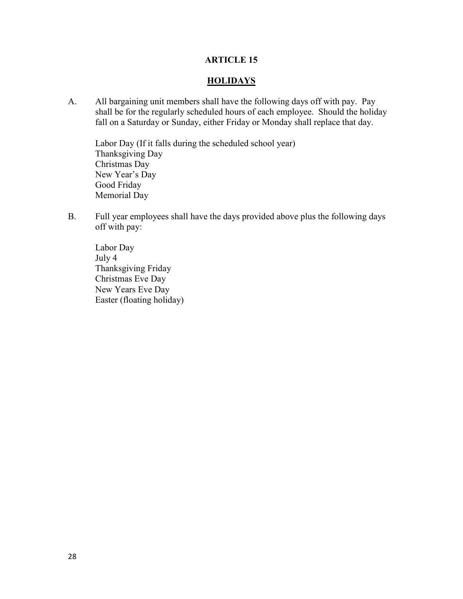### **HOLIDAYS**

A. All bargaining unit members shall have the following days off with pay. Pay shall be for the regularly scheduled hours of each employee. Should the holiday fall on a Saturday or Sunday, either Friday or Monday shall replace that day.

Labor Day (If it falls during the scheduled school year) Thanksgiving Day Christmas Day New Year's Day Good Friday Memorial Day

B. Full year employees shall have the days provided above plus the following days off with pay:

Labor Day July 4 Thanksgiving Friday Christmas Eve Day New Years Eve Day Easter (floating holiday)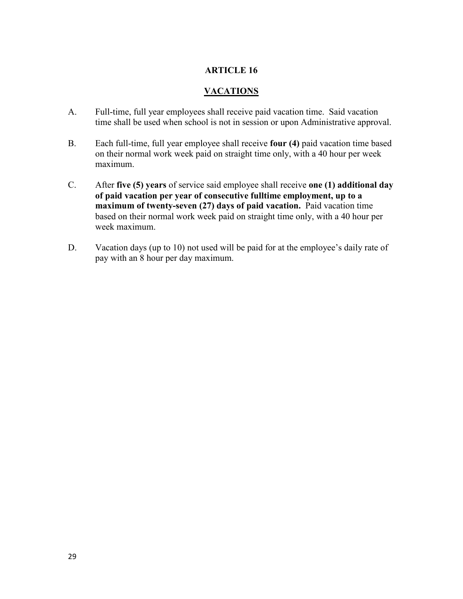### **VACATIONS**

- A. Full-time, full year employees shall receive paid vacation time. Said vacation time shall be used when school is not in session or upon Administrative approval.
- B. Each full-time, full year employee shall receive **four (4)** paid vacation time based on their normal work week paid on straight time only, with a 40 hour per week maximum.
- C. After **five (5) years** of service said employee shall receive **one (1) additional day of paid vacation per year of consecutive fulltime employment, up to a maximum of twenty-seven (27) days of paid vacation.** Paid vacation time based on their normal work week paid on straight time only, with a 40 hour per week maximum.
- D. Vacation days (up to 10) not used will be paid for at the employee's daily rate of pay with an 8 hour per day maximum.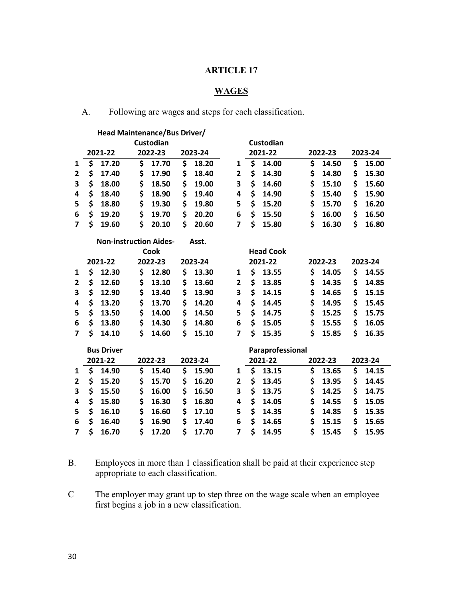# **WAGES**

A. Following are wages and steps for each classification.

|                         | Head Maintenance/Bus Driver/  |             |             |                |                  |             |             |
|-------------------------|-------------------------------|-------------|-------------|----------------|------------------|-------------|-------------|
|                         |                               | Custodian   |             |                | Custodian        |             |             |
|                         | 2021-22                       | 2022-23     | 2023-24     |                | 2021-22          | 2022-23     | 2023-24     |
| $\mathbf{1}$            | \$<br>17.20                   | \$<br>17.70 | \$<br>18.20 | $\mathbf{1}$   | \$<br>14.00      | \$<br>14.50 | \$<br>15.00 |
| $\overline{\mathbf{c}}$ | \$<br>17.40                   | \$<br>17.90 | \$<br>18.40 | $\overline{2}$ | \$<br>14.30      | \$<br>14.80 | \$<br>15.30 |
| 3                       | \$<br>18.00                   | \$<br>18.50 | \$<br>19.00 | 3              | \$<br>14.60      | \$<br>15.10 | \$<br>15.60 |
| 4                       | \$<br>18.40                   | \$<br>18.90 | \$<br>19.40 | 4              | \$<br>14.90      | \$<br>15.40 | \$<br>15.90 |
| 5                       | \$<br>18.80                   | \$<br>19.30 | \$<br>19.80 | 5              | \$<br>15.20      | \$<br>15.70 | \$<br>16.20 |
| 6                       | \$<br>19.20                   | \$<br>19.70 | \$<br>20.20 | 6              | \$<br>15.50      | \$<br>16.00 | \$<br>16.50 |
| $\overline{\mathbf{z}}$ | \$<br>19.60                   | \$<br>20.10 | \$<br>20.60 | $\overline{7}$ | \$<br>15.80      | \$<br>16.30 | \$<br>16.80 |
|                         | <b>Non-instruction Aides-</b> |             | Asst.       |                |                  |             |             |
|                         |                               | Cook        |             |                | <b>Head Cook</b> |             |             |
|                         | 2021-22                       | 2022-23     | 2023-24     |                | 2021-22          | 2022-23     | 2023-24     |
| 1                       | \$<br>12.30                   | \$<br>12.80 | \$<br>13.30 | 1              | \$<br>13.55      | \$<br>14.05 | \$<br>14.55 |
| 2                       | \$<br>12.60                   | \$<br>13.10 | \$<br>13.60 | $\overline{2}$ | \$<br>13.85      | \$<br>14.35 | \$<br>14.85 |
| 3                       | \$<br>12.90                   | \$<br>13.40 | \$<br>13.90 | 3              | \$<br>14.15      | \$<br>14.65 | \$<br>15.15 |
| 4                       | \$<br>13.20                   | \$<br>13.70 | \$<br>14.20 | 4              | \$<br>14.45      | \$<br>14.95 | \$<br>15.45 |
| 5                       | \$<br>13.50                   | \$<br>14.00 | \$<br>14.50 | 5              | \$<br>14.75      | \$<br>15.25 | \$<br>15.75 |
| 6                       | \$<br>13.80                   | \$<br>14.30 | \$<br>14.80 | 6              | \$<br>15.05      | \$<br>15.55 | \$<br>16.05 |
| 7                       | \$<br>14.10                   | \$<br>14.60 | \$<br>15.10 | 7              | \$<br>15.35      | \$<br>15.85 | \$<br>16.35 |
|                         | <b>Bus Driver</b>             |             |             |                | Paraprofessional |             |             |
|                         | 2021-22                       | 2022-23     | 2023-24     |                | 2021-22          | 2022-23     | 2023-24     |
| 1                       | \$<br>14.90                   | \$<br>15.40 | \$<br>15.90 | 1              | \$<br>13.15      | \$<br>13.65 | \$<br>14.15 |
| 2                       | \$<br>15.20                   | \$<br>15.70 | \$<br>16.20 | 2              | \$<br>13.45      | \$<br>13.95 | \$<br>14.45 |
| 3                       | \$<br>15.50                   | \$<br>16.00 | \$<br>16.50 | 3              | \$<br>13.75      | \$<br>14.25 | \$<br>14.75 |
| 4                       | \$<br>15.80                   | \$<br>16.30 | \$<br>16.80 | 4              | \$<br>14.05      | \$<br>14.55 | \$<br>15.05 |
| 5                       | \$<br>16.10                   | \$<br>16.60 | \$<br>17.10 | 5              | \$<br>14.35      | \$<br>14.85 | \$<br>15.35 |
| 6                       | \$<br>16.40                   | \$<br>16.90 | \$<br>17.40 | 6              | \$<br>14.65      | \$<br>15.15 | \$<br>15.65 |
| $\overline{7}$          | \$<br>16.70                   | \$<br>17.20 | \$<br>17.70 | 7              | \$<br>14.95      | \$<br>15.45 | \$<br>15.95 |

- B. Employees in more than 1 classification shall be paid at their experience step appropriate to each classification.
- C The employer may grant up to step three on the wage scale when an employee first begins a job in a new classification.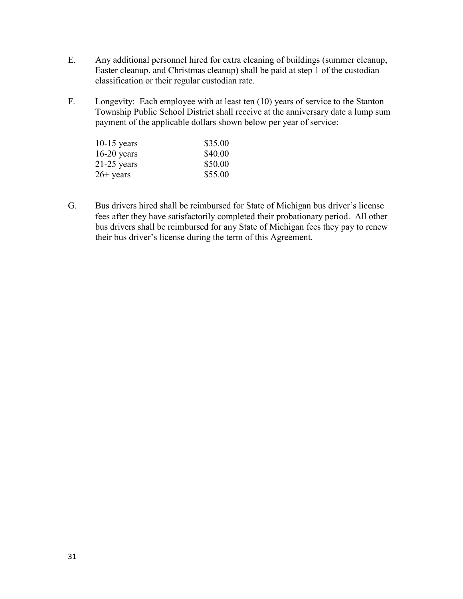- E. Any additional personnel hired for extra cleaning of buildings (summer cleanup, Easter cleanup, and Christmas cleanup) shall be paid at step 1 of the custodian classification or their regular custodian rate.
- F. Longevity: Each employee with at least ten (10) years of service to the Stanton Township Public School District shall receive at the anniversary date a lump sum payment of the applicable dollars shown below per year of service:

| $10-15$ years | \$35.00 |
|---------------|---------|
| $16-20$ years | \$40.00 |
| $21-25$ years | \$50.00 |
| $26+$ years   | \$55.00 |

G. Bus drivers hired shall be reimbursed for State of Michigan bus driver's license fees after they have satisfactorily completed their probationary period. All other bus drivers shall be reimbursed for any State of Michigan fees they pay to renew their bus driver's license during the term of this Agreement.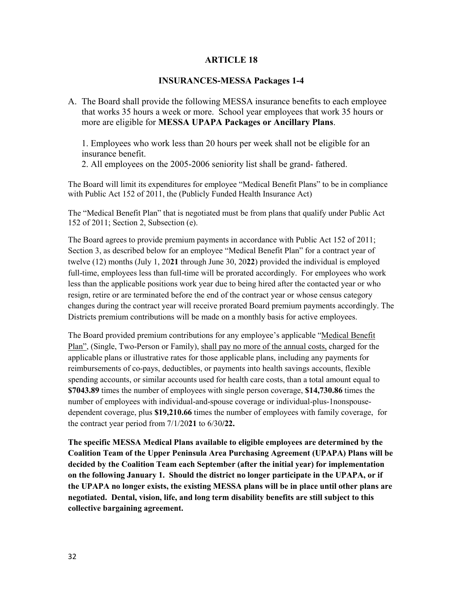### **INSURANCES-MESSA Packages 1-4**

A. The Board shall provide the following MESSA insurance benefits to each employee that works 35 hours a week or more. School year employees that work 35 hours or more are eligible for **MESSA UPAPA Packages or Ancillary Plans**.

1. Employees who work less than 20 hours per week shall not be eligible for an insurance benefit.

2. All employees on the 2005-2006 seniority list shall be grand- fathered.

The Board will limit its expenditures for employee "Medical Benefit Plans" to be in compliance with Public Act 152 of 2011, the (Publicly Funded Health Insurance Act)

The "Medical Benefit Plan" that is negotiated must be from plans that qualify under Public Act 152 of 2011; Section 2, Subsection (e).

The Board agrees to provide premium payments in accordance with Public Act 152 of 2011; Section 3, as described below for an employee "Medical Benefit Plan" for a contract year of twelve (12) months (July 1, 20**21** through June 30, 20**22**) provided the individual is employed full-time, employees less than full-time will be prorated accordingly. For employees who work less than the applicable positions work year due to being hired after the contacted year or who resign, retire or are terminated before the end of the contract year or whose census category changes during the contract year will receive prorated Board premium payments accordingly. The Districts premium contributions will be made on a monthly basis for active employees.

The Board provided premium contributions for any employee's applicable "Medical Benefit" Plan", (Single, Two-Person or Family), shall pay no more of the annual costs, charged for the applicable plans or illustrative rates for those applicable plans, including any payments for reimbursements of co-pays, deductibles, or payments into health savings accounts, flexible spending accounts, or similar accounts used for health care costs, than a total amount equal to **\$7043.89** times the number of employees with single person coverage, **\$14,730.86** times the number of employees with individual-and-spouse coverage or individual-plus-1nonspousedependent coverage, plus **\$19,210.66** times the number of employees with family coverage, for the contract year period from 7/1/20**21** to 6/30**/22.**

**The specific MESSA Medical Plans available to eligible employees are determined by the Coalition Team of the Upper Peninsula Area Purchasing Agreement (UPAPA) Plans will be decided by the Coalition Team each September (after the initial year) for implementation on the following January 1. Should the district no longer participate in the UPAPA, or if the UPAPA no longer exists, the existing MESSA plans will be in place until other plans are negotiated. Dental, vision, life, and long term disability benefits are still subject to this collective bargaining agreement.**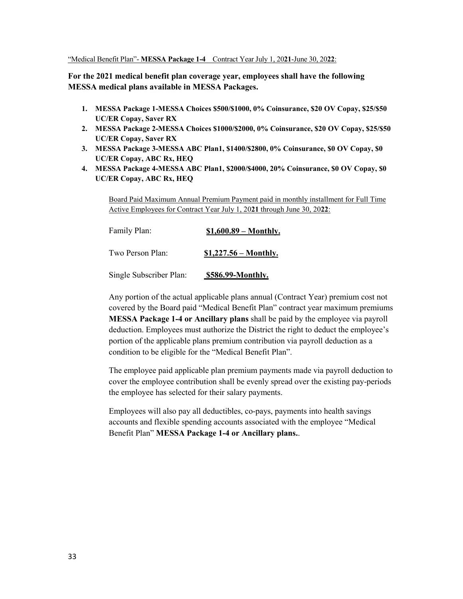#### "Medical Benefit Plan"- **MESSA Package 1-4** Contract Year July 1, 20**21**-June 30, 20**22**:

**For the 2021 medical benefit plan coverage year, employees shall have the following MESSA medical plans available in MESSA Packages.**

- **1. MESSA Package 1-MESSA Choices \$500/\$1000, 0% Coinsurance, \$20 OV Copay, \$25/\$50 UC/ER Copay, Saver RX**
- **2. MESSA Package 2-MESSA Choices \$1000/\$2000, 0% Coinsurance, \$20 OV Copay, \$25/\$50 UC/ER Copay, Saver RX**
- **3. MESSA Package 3-MESSA ABC Plan1, \$1400/\$2800, 0% Coinsurance, \$0 OV Copay, \$0 UC/ER Copay, ABC Rx, HEQ**
- **4. MESSA Package 4-MESSA ABC Plan1, \$2000/\$4000, 20% Coinsurance, \$0 OV Copay, \$0 UC/ER Copay, ABC Rx, HEQ**

Board Paid Maximum Annual Premium Payment paid in monthly installment for Full Time Active Employees for Contract Year July 1, 20**21** through June 30, 20**22**:

| Family Plan:            | $$1,600.89 - Monthly.$ |  |  |
|-------------------------|------------------------|--|--|
| Two Person Plan:        | $$1,227.56 - Monthly.$ |  |  |
| Single Subscriber Plan: | \$586.99-Monthly.      |  |  |

Any portion of the actual applicable plans annual (Contract Year) premium cost not covered by the Board paid "Medical Benefit Plan" contract year maximum premiums **MESSA Package 1-4 or Ancillary plans** shall be paid by the employee via payroll deduction. Employees must authorize the District the right to deduct the employee's portion of the applicable plans premium contribution via payroll deduction as a condition to be eligible for the "Medical Benefit Plan".

The employee paid applicable plan premium payments made via payroll deduction to cover the employee contribution shall be evenly spread over the existing pay-periods the employee has selected for their salary payments.

Employees will also pay all deductibles, co-pays, payments into health savings accounts and flexible spending accounts associated with the employee "Medical Benefit Plan" **MESSA Package 1-4 or Ancillary plans.**.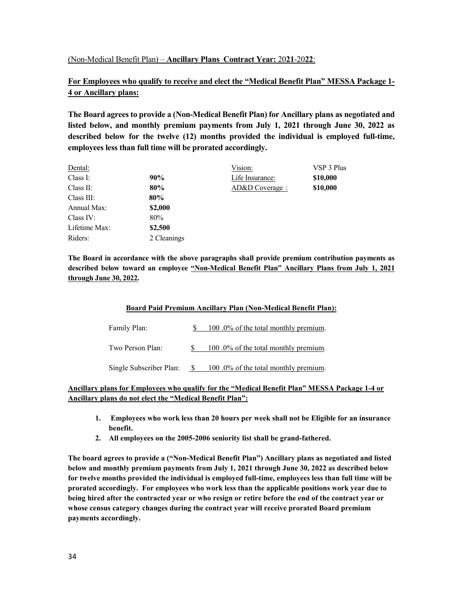### (Non-Medical Benefit Plan) – **Ancillary Plans Contract Year:** 20**21**-20**22**:

## **For Employees who qualify to receive and elect the "Medical Benefit Plan" MESSA Package 1- 4 or Ancillary plans:**

**The Board agrees to provide a (Non-Medical Benefit Plan) for Ancillary plans as negotiated and listed below, and monthly premium payments from July 1, 2021 through June 30, 2022 as described below for the twelve (12) months provided the individual is employed full-time, employees less than full time will be prorated accordingly.** 

| Dental:       |             | Vision:         | VSP 3 Plus |
|---------------|-------------|-----------------|------------|
| Class I:      | 90%         | Life Insurance: | \$10,000   |
| Class II:     | 80%         | AD&D Coverage : | \$10,000   |
| Class III:    | 80%         |                 |            |
| Annual Max:   | \$2,000     |                 |            |
| Class IV:     | 80%         |                 |            |
| Lifetime Max: | \$2,500     |                 |            |
| Riders:       | 2 Cleanings |                 |            |

**The Board in accordance with the above paragraphs shall provide premium contribution payments as described below toward an employee "Non-Medical Benefit Plan" Ancillary Plans from July 1, 2021 through June 30, 2022.** 

### **Board Paid Premium Ancillary Plan (Non-Medical Benefit Plan):**

| Family Plan:            | 100.0% of the total monthly premium. |
|-------------------------|--------------------------------------|
| Two Person Plan:        | 100.0% of the total monthly premium. |
| Single Subscriber Plan: | 100.0% of the total monthly premium. |

### **Ancillary plans for Employees who qualify for the "Medical Benefit Plan" MESSA Package 1-4 or Ancillary plans do not elect the "Medical Benefit Plan":**

- **1. Employees who work less than 20 hours per week shall not be Eligible for an insurance benefit.**
- **2. All employees on the 2005-2006 seniority list shall be grand-fathered.**

**The board agrees to provide a ("Non-Medical Benefit Plan") Ancillary plans as negotiated and listed below and monthly premium payments from July 1, 2021 through June 30, 2022 as described below for twelve months provided the individual is employed full-time, employees less than full time will be prorated accordingly. For employees who work less than the applicable positions work year due to being hired after the contracted year or who resign or retire before the end of the contract year or whose census category changes during the contract year will receive prorated Board premium payments accordingly.**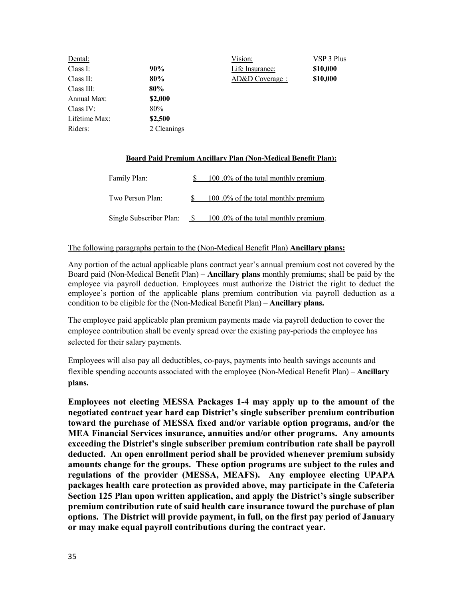| Dental:       |             | Vision:         | VSP 3 Plus |
|---------------|-------------|-----------------|------------|
| Class I:      | 90%         | Life Insurance: | \$10,000   |
| Class II:     | 80%         | AD&D Coverage : | \$10,000   |
| Class III:    | 80%         |                 |            |
| Annual Max:   | \$2,000     |                 |            |
| Class IV:     | 80%         |                 |            |
| Lifetime Max: | \$2,500     |                 |            |
| Riders:       | 2 Cleanings |                 |            |

### **Board Paid Premium Ancillary Plan (Non-Medical Benefit Plan):**

| Family Plan:            | 100.0% of the total monthly premium. |
|-------------------------|--------------------------------------|
| Two Person Plan:        | 100.0% of the total monthly premium. |
| Single Subscriber Plan: | 100.0% of the total monthly premium. |

### The following paragraphs pertain to the (Non-Medical Benefit Plan) **Ancillary plans:**

Any portion of the actual applicable plans contract year's annual premium cost not covered by the Board paid (Non-Medical Benefit Plan) – **Ancillary plans** monthly premiums; shall be paid by the employee via payroll deduction. Employees must authorize the District the right to deduct the employee's portion of the applicable plans premium contribution via payroll deduction as a condition to be eligible for the (Non-Medical Benefit Plan) – **Ancillary plans.**

The employee paid applicable plan premium payments made via payroll deduction to cover the employee contribution shall be evenly spread over the existing pay-periods the employee has selected for their salary payments.

Employees will also pay all deductibles, co-pays, payments into health savings accounts and flexible spending accounts associated with the employee (Non-Medical Benefit Plan) – **Ancillary plans.**

**Employees not electing MESSA Packages 1-4 may apply up to the amount of the negotiated contract year hard cap District's single subscriber premium contribution toward the purchase of MESSA fixed and/or variable option programs, and/or the MEA Financial Services insurance, annuities and/or other programs. Any amounts exceeding the District's single subscriber premium contribution rate shall be payroll deducted. An open enrollment period shall be provided whenever premium subsidy amounts change for the groups. These option programs are subject to the rules and regulations of the provider (MESSA, MEAFS). Any employee electing UPAPA packages health care protection as provided above, may participate in the Cafeteria Section 125 Plan upon written application, and apply the District's single subscriber premium contribution rate of said health care insurance toward the purchase of plan options. The District will provide payment, in full, on the first pay period of January or may make equal payroll contributions during the contract year.**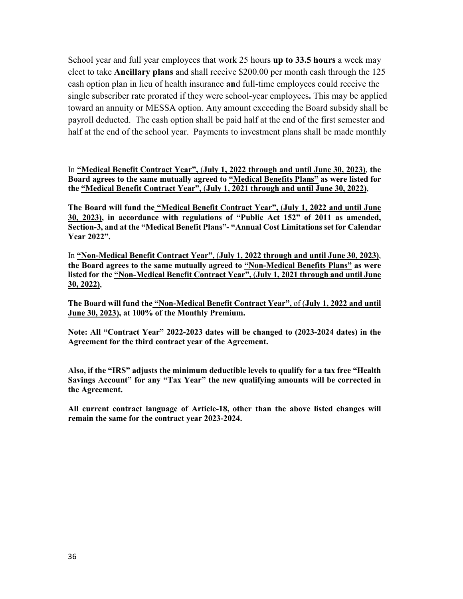School year and full year employees that work 25 hours **up to 33.5 hours** a week may elect to take **Ancillary plans** and shall receive \$200.00 per month cash through the 125 cash option plan in lieu of health insurance **an**d full-time employees could receive the single subscriber rate prorated if they were school-year employees**.** This may be applied toward an annuity or MESSA option. Any amount exceeding the Board subsidy shall be payroll deducted. The cash option shall be paid half at the end of the first semester and half at the end of the school year. Payments to investment plans shall be made monthly

In **"Medical Benefit Contract Year",** (**July 1, 2022 through and until June 30, 2023)**, **the Board agrees to the same mutually agreed to "Medical Benefits Plans" as were listed for the "Medical Benefit Contract Year",** (**July 1, 2021 through and until June 30, 2022)**,

**The Board will fund the "Medical Benefit Contract Year",** (**July 1, 2022 and until June 30, 2023), in accordance with regulations of "Public Act 152" of 2011 as amended, Section-3, and at the "Medical Benefit Plans"- "Annual Cost Limitations set for Calendar Year 2022".**

In **"Non-Medical Benefit Contract Year",** (**July 1, 2022 through and until June 30, 2023)**, **the Board agrees to the same mutually agreed to "Non-Medical Benefits Plans" as were listed for the "Non-Medical Benefit Contract Year",** (**July 1, 2021 through and until June 30, 2022)**,

**The Board will fund the "Non-Medical Benefit Contract Year",** of (**July 1, 2022 and until June 30, 2023), at 100% of the Monthly Premium.**

**Note: All "Contract Year" 2022-2023 dates will be changed to (2023-2024 dates) in the Agreement for the third contract year of the Agreement.**

**Also, if the "IRS" adjusts the minimum deductible levels to qualify for a tax free "Health Savings Account" for any "Tax Year" the new qualifying amounts will be corrected in the Agreement.** 

**All current contract language of Article-18, other than the above listed changes will remain the same for the contract year 2023-2024.**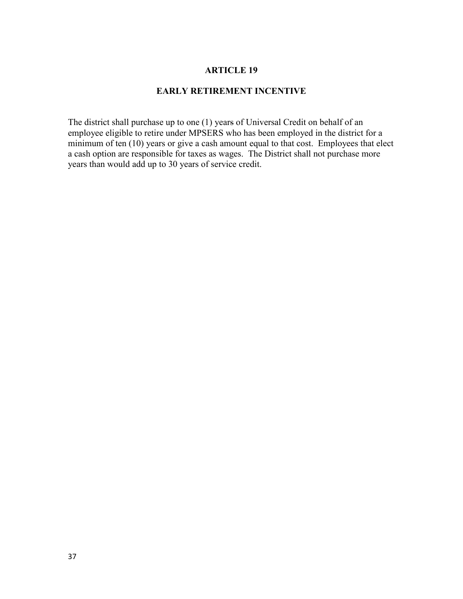### **EARLY RETIREMENT INCENTIVE**

The district shall purchase up to one (1) years of Universal Credit on behalf of an employee eligible to retire under MPSERS who has been employed in the district for a minimum of ten (10) years or give a cash amount equal to that cost. Employees that elect a cash option are responsible for taxes as wages. The District shall not purchase more years than would add up to 30 years of service credit.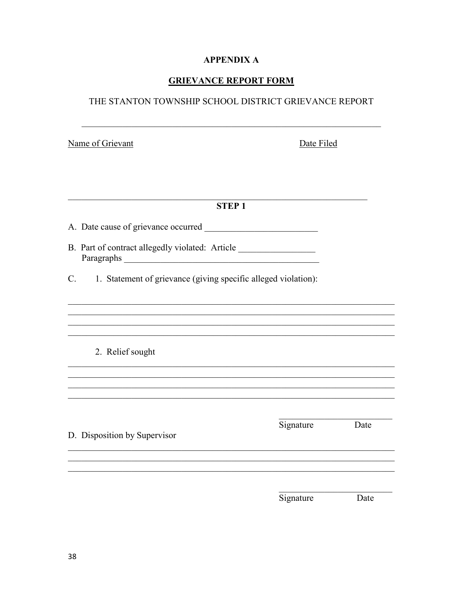# **APPENDIX A**

# **GRIEVANCE REPORT FORM**

# THE STANTON TOWNSHIP SCHOOL DISTRICT GRIEVANCE REPORT

Date Filed

| <b>STEP1</b>                                                                                                                                            |           |      |
|---------------------------------------------------------------------------------------------------------------------------------------------------------|-----------|------|
|                                                                                                                                                         |           |      |
| B. Part of contract allegedly violated: Article ________________________________<br>Paragraphs<br><u> 1989 - Johann Stoff, fransk politik (d. 1989)</u> |           |      |
| 1. Statement of grievance (giving specific alleged violation):<br>$\mathbf{C}$ .                                                                        |           |      |
|                                                                                                                                                         |           |      |
| 2. Relief sought                                                                                                                                        |           |      |
|                                                                                                                                                         |           |      |
| D. Disposition by Supervisor                                                                                                                            | Signature | Date |
|                                                                                                                                                         |           |      |
|                                                                                                                                                         | Signature | Date |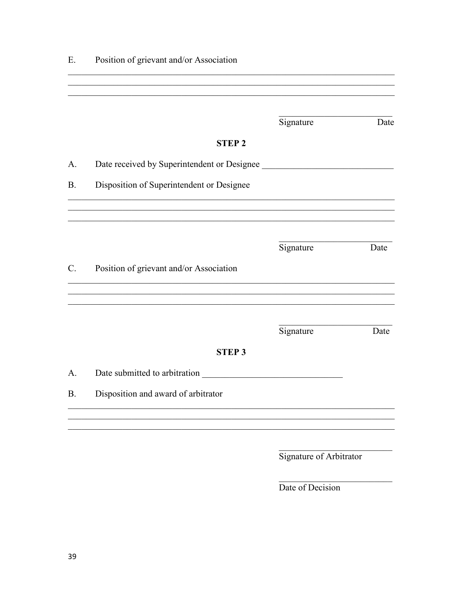| Position of grievant and/or Association<br>Ε. |                                             |                         |      |
|-----------------------------------------------|---------------------------------------------|-------------------------|------|
|                                               |                                             |                         |      |
|                                               |                                             |                         |      |
|                                               |                                             | Signature               | Date |
|                                               | <b>STEP 2</b>                               |                         |      |
| A.                                            | Date received by Superintendent or Designee |                         |      |
| <b>B.</b>                                     | Disposition of Superintendent or Designee   |                         |      |
|                                               |                                             |                         |      |
|                                               |                                             | Signature               | Date |
| $C_{\cdot}$                                   | Position of grievant and/or Association     |                         |      |
|                                               |                                             | Signature               | Date |
|                                               | <b>STEP3</b>                                |                         |      |
| A.                                            | Date submitted to arbitration               |                         |      |
| <b>B.</b>                                     | Disposition and award of arbitrator         |                         |      |
|                                               |                                             |                         |      |
|                                               |                                             | Signature of Arbitrator |      |

Date of Decision